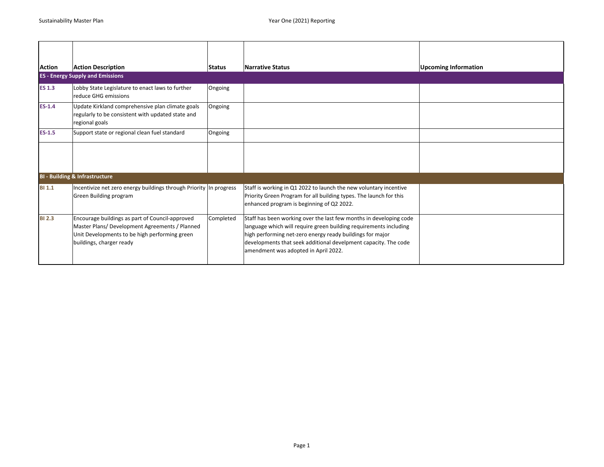| <b>Action</b> | <b>Action Description</b>                                                                                                                                                      | <b>Status</b> | <b>Narrative Status</b>                                                                                                                                                                                                                                                                                         | <b>Upcoming Information</b> |
|---------------|--------------------------------------------------------------------------------------------------------------------------------------------------------------------------------|---------------|-----------------------------------------------------------------------------------------------------------------------------------------------------------------------------------------------------------------------------------------------------------------------------------------------------------------|-----------------------------|
|               | <b>ES - Energy Supply and Emissions</b>                                                                                                                                        |               |                                                                                                                                                                                                                                                                                                                 |                             |
| <b>ES 1.3</b> | Lobby State Legislature to enact laws to further<br>reduce GHG emissions                                                                                                       | Ongoing       |                                                                                                                                                                                                                                                                                                                 |                             |
| $ES-1.4$      | Update Kirkland comprehensive plan climate goals<br>regularly to be consistent with updated state and<br>regional goals                                                        | Ongoing       |                                                                                                                                                                                                                                                                                                                 |                             |
| $ES-1.5$      | Support state or regional clean fuel standard                                                                                                                                  | Ongoing       |                                                                                                                                                                                                                                                                                                                 |                             |
|               |                                                                                                                                                                                |               |                                                                                                                                                                                                                                                                                                                 |                             |
|               | <b>BI - Building &amp; Infrastructure</b>                                                                                                                                      |               |                                                                                                                                                                                                                                                                                                                 |                             |
| <b>BI 1.1</b> | Incentivize net zero energy buildings through Priority In progress<br>Green Building program                                                                                   |               | Staff is working in Q1 2022 to launch the new voluntary incentive<br>Priority Green Program for all building types. The launch for this<br>enhanced program is beginning of Q2 2022.                                                                                                                            |                             |
| <b>BI 2.3</b> | Encourage buildings as part of Council-approved<br>Master Plans/ Development Agreements / Planned<br>Unit Developments to be high performing green<br>buildings, charger ready | Completed     | Staff has been working over the last few months in developing code<br>language which will require green building requirements including<br>high performing net-zero energy ready buildings for major<br>developments that seek additional develpment capacity. The code<br>amendment was adopted in April 2022. |                             |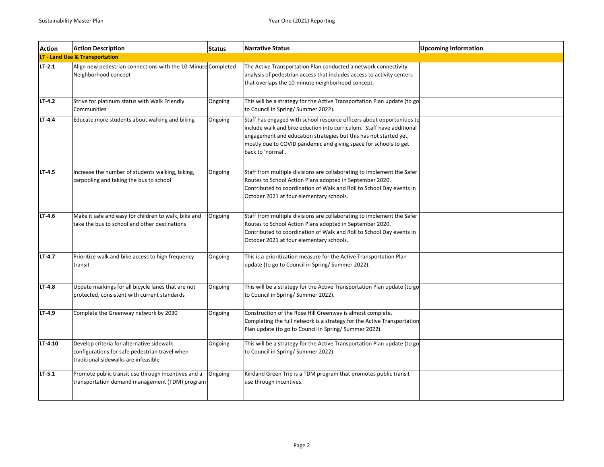| <b>Action</b> | <b>Action Description</b>                                                                                                           | <b>Status</b> | <b>Narrative Status</b>                                                                                                                                                                                                                                                                                       | <b>Upcoming Information</b> |
|---------------|-------------------------------------------------------------------------------------------------------------------------------------|---------------|---------------------------------------------------------------------------------------------------------------------------------------------------------------------------------------------------------------------------------------------------------------------------------------------------------------|-----------------------------|
|               | LT - Land Use & Transportation                                                                                                      |               |                                                                                                                                                                                                                                                                                                               |                             |
| LT.2.1        | Align new pedestrian connections with the 10-Minute Completed<br>Neighborhood concept                                               |               | The Active Transportation Plan conducted a network connectivity<br>analysis of pedestrian access that includes access to activity centers<br>that overlaps the 10-minute neighborhood concept.                                                                                                                |                             |
| LT 4.2        | Strive for platinum status with Walk Friendly<br>Communities                                                                        | Ongoing       | This will be a strategy for the Active Transportation Plan update (to go<br>to Council in Spring/Summer 2022).                                                                                                                                                                                                |                             |
| LT-4.4        | Educate more students about walking and biking                                                                                      | Ongoing       | Staff has engaged with school resource officers about opportunities to<br>include walk and bike eduction into curriculum. Staff have additional<br>engagement and education strategies but this has not started yet,<br>mostly due to COVID pandemic and giving space for schools to get<br>back to 'normal'. |                             |
| LT 4.5        | Increase the number of students walking, biking,<br>carpooling and taking the bus to school                                         | Ongoing       | Staff from multiple divisions are collaborating to implement the Safer<br>Routes to School Action Plans adopted in September 2020.<br>Contributed to coordination of Walk and Roll to School Day events in<br>October 2021 at four elementary schools.                                                        |                             |
| LT-4.6        | Make it safe and easy for children to walk, bike and<br>take the bus to school and other destinations                               | Ongoing       | Staff from multiple divisions are collaborating to implement the Safer<br>Routes to School Action Plans adopted in September 2020.<br>Contributed to coordination of Walk and Roll to School Day events in<br>October 2021 at four elementary schools.                                                        |                             |
| LT 4.7        | Prioritize walk and bike access to high frequency<br>transit                                                                        | Ongoing       | This is a prioritization measure for the Active Transportation Plan<br>update (to go to Council in Spring/Summer 2022).                                                                                                                                                                                       |                             |
| LT 4.8        | Update markings for all bicycle lanes that are not<br>protected, consistent with current standards                                  | Ongoing       | This will be a strategy for the Active Transportation Plan update (to go<br>to Council in Spring/ Summer 2022).                                                                                                                                                                                               |                             |
| LT-4.9        | Complete the Greenway network by 2030                                                                                               | Ongoing       | Construction of the Rose Hill Greenway is almost complete.<br>Completing the full network is a strategy for the Active Transportation<br>Plan update (to go to Council in Spring/Summer 2022).                                                                                                                |                             |
| LT-4.10       | Develop criteria for alternative sidewalk<br>configurations for safe pedestrian travel when<br>traditional sidewalks are infeasible | Ongoing       | This will be a strategy for the Active Transportation Plan update (to go<br>to Council in Spring/ Summer 2022).                                                                                                                                                                                               |                             |
| LT 5.1        | Promote public transit use through incentives and a<br>transportation demand management (TDM) program                               | Ongoing       | Kirkland Green Trip is a TDM program that promotes public transit<br>use through incentives.                                                                                                                                                                                                                  |                             |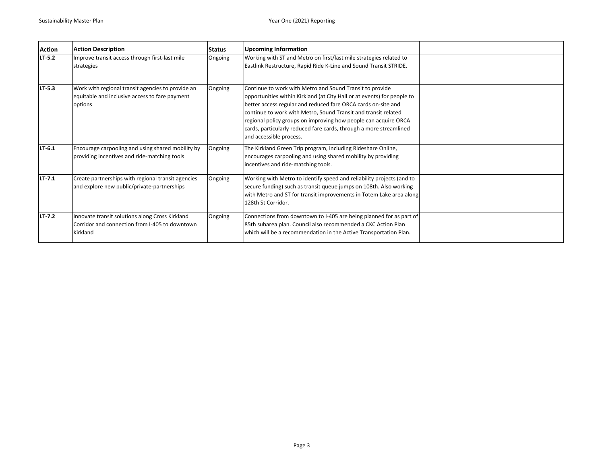| <b>Action</b> | <b>Action Description</b>                                                                                      | Status  | <b>Upcoming Information</b>                                                                                                                                                                                                                                                                                                                                                                                                                |  |
|---------------|----------------------------------------------------------------------------------------------------------------|---------|--------------------------------------------------------------------------------------------------------------------------------------------------------------------------------------------------------------------------------------------------------------------------------------------------------------------------------------------------------------------------------------------------------------------------------------------|--|
| LT-5.2        | Improve transit access through first-last mile<br>strategies                                                   | Ongoing | Working with ST and Metro on first/last mile strategies related to<br>Eastlink Restructure, Rapid Ride K-Line and Sound Transit STRIDE.                                                                                                                                                                                                                                                                                                    |  |
| LT-5.3        | Work with regional transit agencies to provide an<br>equitable and inclusive access to fare payment<br>options | Ongoing | Continue to work with Metro and Sound Transit to provide<br>opportunities within Kirkland (at City Hall or at events) for people to<br>better access regular and reduced fare ORCA cards on-site and<br>continue to work with Metro, Sound Transit and transit related<br>regional policy groups on improving how people can acquire ORCA<br>cards, particularly reduced fare cards, through a more streamlined<br>and accessible process. |  |
| LT-6.1        | Encourage carpooling and using shared mobility by<br>providing incentives and ride-matching tools              | Ongoing | The Kirkland Green Trip program, including Rideshare Online,<br>encourages carpooling and using shared mobility by providing<br>incentives and ride-matching tools.                                                                                                                                                                                                                                                                        |  |
| LT 7.1        | Create partnerships with regional transit agencies<br>and explore new public/private-partnerships              | Ongoing | Working with Metro to identify speed and reliability projects (and to<br>secure funding) such as transit queue jumps on 108th. Also working<br>with Metro and ST for transit improvements in Totem Lake area along<br>128th St Corridor.                                                                                                                                                                                                   |  |
| LT 7.2        | Innovate transit solutions along Cross Kirkland<br>Corridor and connection from I-405 to downtown<br>Kirkland  | Ongoing | Connections from downtown to I-405 are being planned for as part of<br>85th subarea plan. Council also recommended a CKC Action Plan<br>which will be a recommendation in the Active Transportation Plan.                                                                                                                                                                                                                                  |  |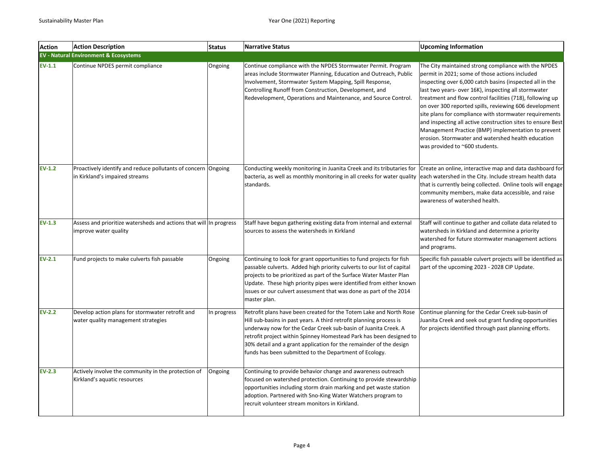| <b>Action</b> | <b>Action Description</b>                                                                       | <b>Status</b> | <b>Narrative Status</b>                                                                                                                                                                                                                                                                                                                                                                                            | <b>Upcoming Information</b>                                                                                                                                                                                                                                                                                                                                                                                                                                                                                                                                                                                               |
|---------------|-------------------------------------------------------------------------------------------------|---------------|--------------------------------------------------------------------------------------------------------------------------------------------------------------------------------------------------------------------------------------------------------------------------------------------------------------------------------------------------------------------------------------------------------------------|---------------------------------------------------------------------------------------------------------------------------------------------------------------------------------------------------------------------------------------------------------------------------------------------------------------------------------------------------------------------------------------------------------------------------------------------------------------------------------------------------------------------------------------------------------------------------------------------------------------------------|
|               | <b>EV - Natural Environment &amp; Ecosystems</b>                                                |               |                                                                                                                                                                                                                                                                                                                                                                                                                    |                                                                                                                                                                                                                                                                                                                                                                                                                                                                                                                                                                                                                           |
| $EV-1.1$      | Continue NPDES permit compliance                                                                | Ongoing       | Continue compliance with the NPDES Stormwater Permit. Program<br>areas include Stormwater Planning, Education and Outreach, Public<br>Involvement, Stormwater System Mapping, Spill Response,<br>Controlling Runoff from Construction, Development, and<br>Redevelopment, Operations and Maintenance, and Source Control.                                                                                          | The City maintained strong compliance with the NPDES<br>permit in 2021; some of those actions included<br>inspecting over 6,000 catch basins (inspected all in the<br>last two years- over 16K), inspecting all stormwater<br>treatment and flow control facilities (718), following up<br>on over 300 reported spills, reviewing 606 development<br>site plans for compliance with stormwater requirements<br>and inspecting all active construction sites to ensure Best<br>Management Practice (BMP) implementation to prevent<br>erosion. Stormwater and watershed health education<br>was provided to ~600 students. |
| $EV-1.2$      | Proactively identify and reduce pollutants of concern Ongoing<br>in Kirkland's impaired streams |               | Conducting weekly monitoring in Juanita Creek and its tributaries for<br>bacteria, as well as monthly monitoring in all creeks for water quality<br>standards.                                                                                                                                                                                                                                                     | Create an online, interactive map and data dashboard for<br>each watershed in the City. Include stream health data<br>that is currently being collected. Online tools will engage<br>community members, make data accessible, and raise<br>awareness of watershed health.                                                                                                                                                                                                                                                                                                                                                 |
| $EV-1.3$      | Assess and prioritize watersheds and actions that will In progress<br>improve water quality     |               | Staff have begun gathering existing data from internal and external<br>sources to assess the watersheds in Kirkland                                                                                                                                                                                                                                                                                                | Staff will continue to gather and collate data related to<br>watersheds in Kirkland and determine a priority<br>watershed for future stormwater management actions<br>and programs.                                                                                                                                                                                                                                                                                                                                                                                                                                       |
| $EV-2.1$      | Fund projects to make culverts fish passable                                                    | Ongoing       | Continuing to look for grant opportunities to fund projects for fish<br>passable culverts. Added high priority culverts to our list of capital<br>projects to be prioritized as part of the Surface Water Master Plan<br>Update. These high priority pipes were identified from either known<br>issues or our culvert assessment that was done as part of the 2014<br>master plan.                                 | Specific fish passable culvert projects will be identified as<br>part of the upcoming 2023 - 2028 CIP Update.                                                                                                                                                                                                                                                                                                                                                                                                                                                                                                             |
| $EV-2.2$      | Develop action plans for stormwater retrofit and<br>water quality management strategies         | In progress   | Retrofit plans have been created for the Totem Lake and North Rose<br>Hill sub-basins in past years. A third retrofit planning process is<br>underway now for the Cedar Creek sub-basin of Juanita Creek. A<br>retrofit project within Spinney Homestead Park has been designed to<br>30% detail and a grant application for the remainder of the design<br>funds has been submitted to the Department of Ecology. | Continue planning for the Cedar Creek sub-basin of<br>Juanita Creek and seek out grant funding opportunities<br>for projects identified through past planning efforts.                                                                                                                                                                                                                                                                                                                                                                                                                                                    |
| $EV-2.3$      | Actively involve the community in the protection of<br>Kirkland's aquatic resources             | Ongoing       | Continuing to provide behavior change and awareness outreach<br>focused on watershed protection. Continuing to provide stewardship<br>opportunities including storm drain marking and pet waste station<br>adoption. Partnered with Sno-King Water Watchers program to<br>recruit volunteer stream monitors in Kirkland.                                                                                           |                                                                                                                                                                                                                                                                                                                                                                                                                                                                                                                                                                                                                           |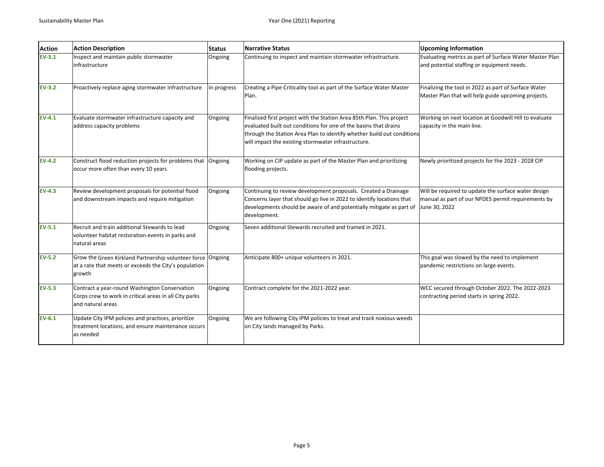| <b>Action</b> | <b>Action Description</b>                                                                                                      | <b>Status</b> | Narrative Status                                                                                                                                                                                                                                                           | <b>Upcoming Information</b>                                                                                                |
|---------------|--------------------------------------------------------------------------------------------------------------------------------|---------------|----------------------------------------------------------------------------------------------------------------------------------------------------------------------------------------------------------------------------------------------------------------------------|----------------------------------------------------------------------------------------------------------------------------|
| $EV-3.1$      | Inspect and maintain public stormwater<br>infrastructure                                                                       | Ongoing       | Continuing to inspect and maintain stormwater infrastructure.                                                                                                                                                                                                              | Evaluating metrics as part of Surface Water Master Plan<br>and potential staffing or equipment needs.                      |
| $EV-3.2$      | Proactively replace aging stormwater infrastructure                                                                            | In progress   | Creating a Pipe Criticality tool as part of the Surface Water Master<br>Plan.                                                                                                                                                                                              | Finalizing the tool in 2022 as part of Surface Water<br>Master Plan that will help guide upcoming projects.                |
| $EV-4.1$      | Evaluate stormwater infrastructure capacity and<br>address capacity problems                                                   | Ongoing       | Finalized first project with the Station Area 85th Plan. This project<br>evaluated built out conditions for one of the basins that drains<br>through the Station Area Plan to identify whether build out conditions<br>will impact the existing stormwater infrastructure. | Working on next location at Goodwill Hill to evaluate<br>capacity in the main line.                                        |
| $EV-4.2$      | Construct flood reduction projects for problems that<br>occur more often than every 10 years                                   | Ongoing       | Working on CIP update as part of the Master Plan and prioritizing<br>flooding projects.                                                                                                                                                                                    | Newly prioritized projects for the 2023 - 2028 CIP                                                                         |
| $EV-4.3$      | Review development proposals for potential flood<br>and downstream impacts and require mitigation                              | Ongoing       | Continuing to review development proposals. Created a Drainage<br>Concerns layer that should go live in 2022 to identify locations that<br>developments should be aware of and potentially mitigate as part of<br>development.                                             | Will be required to update the surface water design<br>manual as part of our NPDES permit requirements by<br>June 30, 2022 |
| $EV-5.1$      | Recruit and train additional Stewards to lead<br>volunteer habitat restoration events in parks and<br>natural areas            | Ongoing       | Seven additional Stewards recruited and trained in 2021.                                                                                                                                                                                                                   |                                                                                                                            |
| $EV-5.2$      | Grow the Green Kirkland Partnership volunteer force Ongoing<br>at a rate that meets or exceeds the City's population<br>growth |               | Anticipate 800+ unique volunteers in 2021.                                                                                                                                                                                                                                 | This goal was slowed by the need to implement<br>pandemic restrictions on large events.                                    |
| $EV-5.3$      | Contract a year-round Washington Conservation<br>Corps crew to work in critical areas in all City parks<br>and natural areas   | Ongoing       | Contract complete for the 2021-2022 year.                                                                                                                                                                                                                                  | WCC secured through October 2022. The 2022-2023<br>contracting period starts in spring 2022.                               |
| $EV-6.1$      | Update City IPM policies and practices, prioritize<br>treatment locations, and ensure maintenance occurs<br>as needed          | Ongoing       | We are following City IPM policies to treat and track noxious weeds<br>on City lands managed by Parks.                                                                                                                                                                     |                                                                                                                            |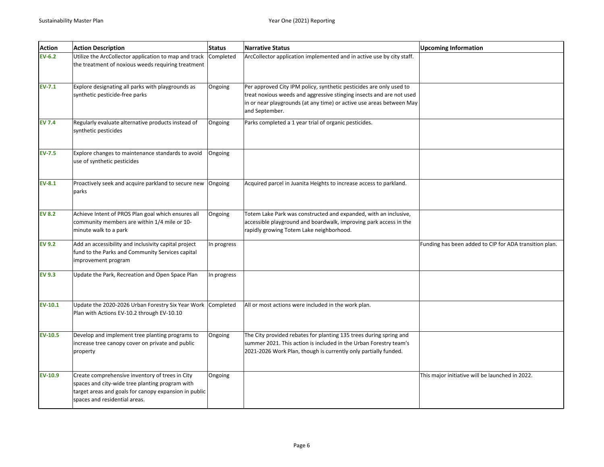| <b>Action</b>  | <b>Action Description</b>                                                                                                                                                                    | <b>Status</b> | <b>Narrative Status</b>                                                                                                                                                                                                               | <b>Upcoming Information</b>                            |
|----------------|----------------------------------------------------------------------------------------------------------------------------------------------------------------------------------------------|---------------|---------------------------------------------------------------------------------------------------------------------------------------------------------------------------------------------------------------------------------------|--------------------------------------------------------|
| $EV-6.2$       | Utilize the ArcCollector application to map and track<br>the treatment of noxious weeds requiring treatment                                                                                  | Completed     | ArcCollector application implemented and in active use by city staff.                                                                                                                                                                 |                                                        |
| $EV-7.1$       | Explore designating all parks with playgrounds as<br>synthetic pesticide-free parks                                                                                                          | Ongoing       | Per approved City IPM policy, synthetic pesticides are only used to<br>treat noxious weeds and aggressive stinging insects and are not used<br>in or near playgrounds (at any time) or active use areas between May<br>and September. |                                                        |
| <b>EV 7.4</b>  | Regularly evaluate alternative products instead of<br>synthetic pesticides                                                                                                                   | Ongoing       | Parks completed a 1 year trial of organic pesticides.                                                                                                                                                                                 |                                                        |
| <b>EV-7.5</b>  | Explore changes to maintenance standards to avoid<br>use of synthetic pesticides                                                                                                             | Ongoing       |                                                                                                                                                                                                                                       |                                                        |
| $EV-8.1$       | Proactively seek and acquire parkland to secure new<br>parks                                                                                                                                 | Ongoing       | Acquired parcel in Juanita Heights to increase access to parkland.                                                                                                                                                                    |                                                        |
| <b>EV 8.2</b>  | Achieve Intent of PROS Plan goal which ensures all<br>community members are within 1/4 mile or 10-<br>minute walk to a park                                                                  | Ongoing       | Totem Lake Park was constructed and expanded, with an inclusive,<br>accessible playground and boardwalk, improving park access in the<br>rapidly growing Totem Lake neighborhood.                                                     |                                                        |
| <b>EV 9.2</b>  | Add an accessibility and inclusivity capital project<br>fund to the Parks and Community Services capital<br>improvement program                                                              | In progress   |                                                                                                                                                                                                                                       | Funding has been added to CIP for ADA transition plan. |
| <b>EV 9.3</b>  | Update the Park, Recreation and Open Space Plan                                                                                                                                              | In progress   |                                                                                                                                                                                                                                       |                                                        |
| $EV-10.1$      | Update the 2020-2026 Urban Forestry Six Year Work Completed<br>Plan with Actions EV-10.2 through EV-10.10                                                                                    |               | All or most actions were included in the work plan.                                                                                                                                                                                   |                                                        |
| <b>EV-10.5</b> | Develop and implement tree planting programs to<br>increase tree canopy cover on private and public<br>property                                                                              | Ongoing       | The City provided rebates for planting 135 trees during spring and<br>summer 2021. This action is included in the Urban Forestry team's<br>2021-2026 Work Plan, though is currently only partially funded.                            |                                                        |
| EV-10.9        | Create comprehensive inventory of trees in City<br>spaces and city-wide tree planting program with<br>target areas and goals for canopy expansion in public<br>spaces and residential areas. | Ongoing       |                                                                                                                                                                                                                                       | This major initiative will be launched in 2022.        |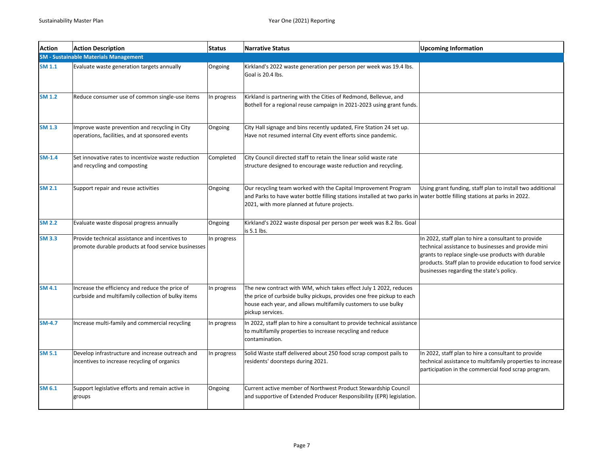| <b>Action</b> | <b>Action Description</b>                                                                             | <b>Status</b> | <b>Narrative Status</b>                                                                                                                                                                                                                    | <b>Upcoming Information</b>                                                                                                                                                                                                                                               |
|---------------|-------------------------------------------------------------------------------------------------------|---------------|--------------------------------------------------------------------------------------------------------------------------------------------------------------------------------------------------------------------------------------------|---------------------------------------------------------------------------------------------------------------------------------------------------------------------------------------------------------------------------------------------------------------------------|
|               | <b>SM - Sustainable Materials Management</b>                                                          |               |                                                                                                                                                                                                                                            |                                                                                                                                                                                                                                                                           |
| <b>SM 1.1</b> | Evaluate waste generation targets annually                                                            | Ongoing       | Kirkland's 2022 waste generation per person per week was 19.4 lbs.<br>Goal is 20.4 lbs.                                                                                                                                                    |                                                                                                                                                                                                                                                                           |
| <b>SM 1.2</b> | Reduce consumer use of common single-use items                                                        | In progress   | Kirkland is partnering with the Cities of Redmond, Bellevue, and<br>Bothell for a regional reuse campaign in 2021-2023 using grant funds.                                                                                                  |                                                                                                                                                                                                                                                                           |
| <b>SM 1.3</b> | Improve waste prevention and recycling in City<br>operations, facilities, and at sponsored events     | Ongoing       | City Hall signage and bins recently updated, Fire Station 24 set up.<br>Have not resumed internal City event efforts since pandemic.                                                                                                       |                                                                                                                                                                                                                                                                           |
| $SM-1.4$      | Set innovative rates to incentivize waste reduction<br>and recycling and composting                   | Completed     | City Council directed staff to retain the linear solid waste rate<br>structure designed to encourage waste reduction and recycling.                                                                                                        |                                                                                                                                                                                                                                                                           |
| <b>SM 2.1</b> | Support repair and reuse activities                                                                   | Ongoing       | Our recycling team worked with the Capital Improvement Program<br>and Parks to have water bottle filling stations installed at two parks in water bottle filling stations at parks in 2022.<br>2021, with more planned at future projects. | Using grant funding, staff plan to install two additional                                                                                                                                                                                                                 |
| <b>SM 2.2</b> | Evaluate waste disposal progress annually                                                             | Ongoing       | Kirkland's 2022 waste disposal per person per week was 8.2 lbs. Goal<br>is 5.1 lbs.                                                                                                                                                        |                                                                                                                                                                                                                                                                           |
| <b>SM 3.3</b> | Provide technical assistance and incentives to<br>promote durable products at food service businesses | In progress   |                                                                                                                                                                                                                                            | In 2022, staff plan to hire a consultant to provide<br>technical assistance to businesses and provide mini<br>grants to replace single-use products with durable<br>products. Staff plan to provide education to food service<br>businesses regarding the state's policy. |
| <b>SM 4.1</b> | Increase the efficiency and reduce the price of<br>curbside and multifamily collection of bulky items | In progress   | The new contract with WM, which takes effect July 1 2022, reduces<br>the price of curbside bulky pickups, provides one free pickup to each<br>house each year, and allows multifamily customers to use bulky<br>pickup services.           |                                                                                                                                                                                                                                                                           |
| <b>SM-4.7</b> | Increase multi-family and commercial recycling                                                        | In progress   | In 2022, staff plan to hire a consultant to provide technical assistance<br>to multifamily properties to increase recycling and reduce<br>contamination.                                                                                   |                                                                                                                                                                                                                                                                           |
| <b>SM 5.1</b> | Develop infrastructure and increase outreach and<br>incentives to increase recycling of organics      | In progress   | Solid Waste staff delivered about 250 food scrap compost pails to<br>residents' doorsteps during 2021.                                                                                                                                     | In 2022, staff plan to hire a consultant to provide<br>technical assistance to multifamily properties to increase<br>participation in the commercial food scrap program.                                                                                                  |
| <b>SM 6.1</b> | Support legislative efforts and remain active in<br>groups                                            | Ongoing       | Current active member of Northwest Product Stewardship Council<br>and supportive of Extended Producer Responsibility (EPR) legislation.                                                                                                    |                                                                                                                                                                                                                                                                           |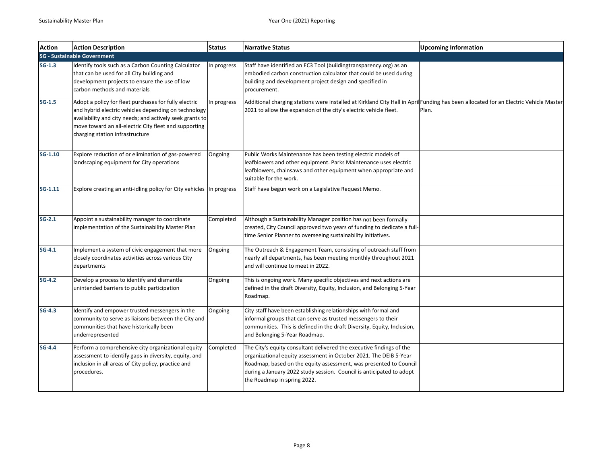| <b>Action</b> | <b>Action Description</b>                                                                                                                                                                                                                                             | <b>Status</b> | <b>Narrative Status</b>                                                                                                                                                                                                                                                                                               | <b>Upcoming Information</b> |
|---------------|-----------------------------------------------------------------------------------------------------------------------------------------------------------------------------------------------------------------------------------------------------------------------|---------------|-----------------------------------------------------------------------------------------------------------------------------------------------------------------------------------------------------------------------------------------------------------------------------------------------------------------------|-----------------------------|
|               | <b>SG - Sustainable Government</b>                                                                                                                                                                                                                                    |               |                                                                                                                                                                                                                                                                                                                       |                             |
| $SG-1.3$      | Identify tools such as a Carbon Counting Calculator<br>that can be used for all City building and<br>development projects to ensure the use of low<br>carbon methods and materials                                                                                    | In progress   | Staff have identified an EC3 Tool (buildingtransparency.org) as an<br>embodied carbon construction calculator that could be used during<br>building and development project design and specified in<br>procurement.                                                                                                   |                             |
| $SG-1.5$      | Adopt a policy for fleet purchases for fully electric<br>and hybrid electric vehicles depending on technology<br>availability and city needs; and actively seek grants to<br>move toward an all-electric City fleet and supporting<br>charging station infrastructure | In progress   | Additional charging stations were installed at Kirkland City Hall in April Funding has been allocated for an Electric Vehicle Master<br>2021 to allow the expansion of the city's electric vehicle fleet.                                                                                                             | Plan.                       |
| SG-1.10       | Explore reduction of or elimination of gas-powered<br>landscaping equipment for City operations                                                                                                                                                                       | Ongoing       | Public Works Maintenance has been testing electric models of<br>leafblowers and other equipment. Parks Maintenance uses electric<br>leafblowers, chainsaws and other equipment when appropriate and<br>suitable for the work.                                                                                         |                             |
| $SG-1.11$     | Explore creating an anti-idling policy for City vehicles In progress                                                                                                                                                                                                  |               | Staff have begun work on a Legislative Request Memo.                                                                                                                                                                                                                                                                  |                             |
| $SG-2.1$      | Appoint a sustainability manager to coordinate<br>implementation of the Sustainability Master Plan                                                                                                                                                                    | Completed     | Although a Sustainability Manager position has not been formally<br>created, City Council approved two years of funding to dedicate a full-<br>time Senior Planner to overseeing sustainability initiatives.                                                                                                          |                             |
| $SG-4.1$      | Implement a system of civic engagement that more<br>closely coordinates activities across various City<br>departments                                                                                                                                                 | Ongoing       | The Outreach & Engagement Team, consisting of outreach staff from<br>nearly all departments, has been meeting monthly throughout 2021<br>and will continue to meet in 2022.                                                                                                                                           |                             |
| $SG-4.2$      | Develop a process to identify and dismantle<br>unintended barriers to public participation                                                                                                                                                                            | Ongoing       | This is ongoing work. Many specific objectives and next actions are<br>defined in the draft Diversity, Equity, Inclusion, and Belonging 5-Year<br>Roadmap.                                                                                                                                                            |                             |
| $SG-4.3$      | Identify and empower trusted messengers in the<br>community to serve as liaisons between the City and<br>communities that have historically been<br>underrepresented                                                                                                  | Ongoing       | City staff have been establishing relationships with formal and<br>informal groups that can serve as trusted messengers to their<br>communities. This is defined in the draft Diversity, Equity, Inclusion,<br>and Belonging 5-Year Roadmap.                                                                          |                             |
| $SG-4.4$      | Perform a comprehensive city organizational equity<br>assessment to identify gaps in diversity, equity, and<br>inclusion in all areas of City policy, practice and<br>procedures.                                                                                     | Completed     | The City's equity consultant delivered the executive findings of the<br>organizational equity assessment in October 2021. The DEIB 5-Year<br>Roadmap, based on the equity assessment, was presented to Council<br>during a January 2022 study session. Council is anticipated to adopt<br>the Roadmap in spring 2022. |                             |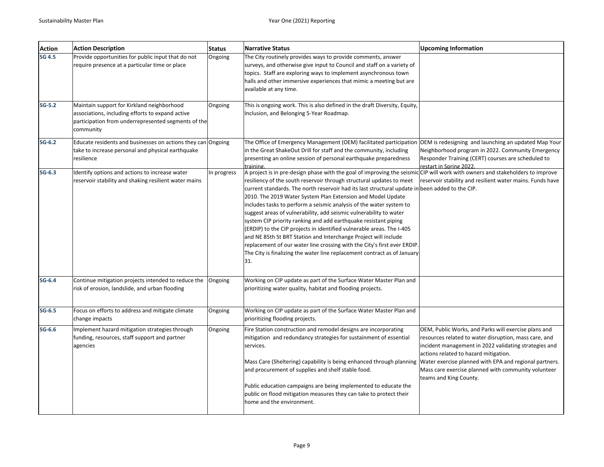| <b>Action</b> | <b>Action Description</b>                                                                                                                                          | <b>Status</b> | <b>Narrative Status</b>                                                                                                                                                                                                                                                                                                                                                                                                                                                                                                                                                                                                                                                                                                                                                                                                                                                                            | <b>Upcoming Information</b>                                                                                                                                                                                                                                                                                                                                |
|---------------|--------------------------------------------------------------------------------------------------------------------------------------------------------------------|---------------|----------------------------------------------------------------------------------------------------------------------------------------------------------------------------------------------------------------------------------------------------------------------------------------------------------------------------------------------------------------------------------------------------------------------------------------------------------------------------------------------------------------------------------------------------------------------------------------------------------------------------------------------------------------------------------------------------------------------------------------------------------------------------------------------------------------------------------------------------------------------------------------------------|------------------------------------------------------------------------------------------------------------------------------------------------------------------------------------------------------------------------------------------------------------------------------------------------------------------------------------------------------------|
| <b>SG 4.5</b> | Provide opportunities for public input that do not<br>require presence at a particular time or place                                                               | Ongoing       | The City routinely provides ways to provide comments, answer<br>surveys, and otherwise give input to Council and staff on a variety of<br>topics. Staff are exploring ways to implement asynchronous town<br>halls and other immersive experiences that mimic a meeting but are<br>available at any time.                                                                                                                                                                                                                                                                                                                                                                                                                                                                                                                                                                                          |                                                                                                                                                                                                                                                                                                                                                            |
| $SG-5.2$      | Maintain support for Kirkland neighborhood<br>associations, including efforts to expand active<br>participation from underrepresented segments of the<br>community | Ongoing       | This is ongoing work. This is also defined in the draft Diversity, Equity,<br>Inclusion, and Belonging 5-Year Roadmap.                                                                                                                                                                                                                                                                                                                                                                                                                                                                                                                                                                                                                                                                                                                                                                             |                                                                                                                                                                                                                                                                                                                                                            |
| $SG-6.2$      | Educate residents and businesses on actions they can Ongoing<br>take to increase personal and physical earthquake<br>resilience                                    |               | The Office of Emergency Management (OEM) facilitated participation<br>in the Great ShakeOut Drill for staff and the community, including<br>presenting an online session of personal earthquake preparedness<br>training.                                                                                                                                                                                                                                                                                                                                                                                                                                                                                                                                                                                                                                                                          | OEM is redesigning and launching an updated Map Your<br>Neighborhood program in 2022. Community Emergency<br>Responder Training (CERT) courses are scheduled to<br>restart in Spring 2022.                                                                                                                                                                 |
| $SG-6.3$      | Identify options and actions to increase water<br>reservoir stability and shaking resilient water mains                                                            | In progress   | A project is in pre-design phase with the goal of improving the seismic CIP will work with owners and stakeholders to improve<br>resiliency of the south reservoir through structural updates to meet<br>current standards. The north reservoir had its last structural update in been added to the CIP.<br>2010. The 2019 Water System Plan Extension and Model Update<br>includes tasks to perform a seismic analysis of the water system to<br>suggest areas of vulnerability, add seismic vulnerability to water<br>system CIP priority ranking and add earthquake resistant piping<br>(ERDIP) to the CIP projects in identified vulnerable areas. The I-405<br>and NE 85th St BRT Station and Interchange Project will include<br>replacement of our water line crossing with the City's first ever ERDIP.<br>The City is finalizing the water line replacement contract as of January<br>31. | reservoir stability and resilient water mains. Funds have                                                                                                                                                                                                                                                                                                  |
| $SG-6.4$      | Continue mitigation projects intended to reduce the<br>risk of erosion, landslide, and urban flooding                                                              | Ongoing       | Working on CIP update as part of the Surface Water Master Plan and<br>prioritizing water quality, habitat and flooding projects.                                                                                                                                                                                                                                                                                                                                                                                                                                                                                                                                                                                                                                                                                                                                                                   |                                                                                                                                                                                                                                                                                                                                                            |
| $SG-6.5$      | Focus on efforts to address and mitigate climate<br>change impacts                                                                                                 | Ongoing       | Working on CIP update as part of the Surface Water Master Plan and<br>prioritizing flooding projects.                                                                                                                                                                                                                                                                                                                                                                                                                                                                                                                                                                                                                                                                                                                                                                                              |                                                                                                                                                                                                                                                                                                                                                            |
| $SG-6.6$      | Implement hazard mitigation strategies through<br>funding, resources, staff support and partner<br>agencies                                                        | Ongoing       | Fire Station construction and remodel designs are incorporating<br>mitigation and redundancy strategies for sustainment of essential<br>services.<br>Mass Care (Sheltering) capability is being enhanced through planning<br>and procurement of supplies and shelf stable food.                                                                                                                                                                                                                                                                                                                                                                                                                                                                                                                                                                                                                    | OEM, Public Works, and Parks will exercise plans and<br>resources related to water disruption, mass care, and<br>incident management in 2022 validating strategies and<br>actions related to hazard mitigation.<br>Water exercise planned with EPA and regional partners.<br>Mass care exercise planned with community volunteer<br>teams and King County. |
|               |                                                                                                                                                                    |               | Public education campaigns are being implemented to educate the<br>public on flood mitigation measures they can take to protect their<br>home and the environment.                                                                                                                                                                                                                                                                                                                                                                                                                                                                                                                                                                                                                                                                                                                                 |                                                                                                                                                                                                                                                                                                                                                            |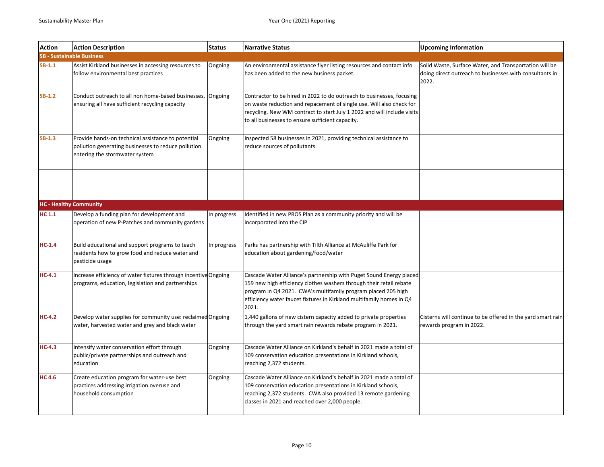| <b>Action</b> | <b>Action Description</b>                                                                                                                   | <b>Status</b> | <b>Narrative Status</b>                                                                                                                                                                                                                                                                      | <b>Upcoming Information</b>                                                                                                |
|---------------|---------------------------------------------------------------------------------------------------------------------------------------------|---------------|----------------------------------------------------------------------------------------------------------------------------------------------------------------------------------------------------------------------------------------------------------------------------------------------|----------------------------------------------------------------------------------------------------------------------------|
|               | <b>SB - Sustainable Business</b>                                                                                                            |               |                                                                                                                                                                                                                                                                                              |                                                                                                                            |
| $SB-1.1$      | Assist Kirkland businesses in accessing resources to<br>follow environmental best practices                                                 | Ongoing       | An environmental assistance flyer listing resources and contact info<br>has been added to the new business packet.                                                                                                                                                                           | Solid Waste, Surface Water, and Transportation will be<br>doing direct outreach to businesses with consultants in<br>2022. |
| SB-1.2        | Conduct outreach to all non home-based businesses,<br>ensuring all have sufficient recycling capacity                                       | Ongoing       | Contractor to be hired in 2022 to do outreach to businesses, focusing<br>on waste reduction and repacement of single use. Will also check for<br>recycling. New WM contract to start July 1 2022 and will include visits<br>to all businesses to ensure sufficient capacity.                 |                                                                                                                            |
| $SB-1.3$      | Provide hands-on technical assistance to potential<br>pollution generating businesses to reduce pollution<br>entering the stormwater system | Ongoing       | Inspected 58 businesses in 2021, providing technical assistance to<br>reduce sources of pollutants.                                                                                                                                                                                          |                                                                                                                            |
|               |                                                                                                                                             |               |                                                                                                                                                                                                                                                                                              |                                                                                                                            |
|               | <b>HC - Healthy Community</b>                                                                                                               |               |                                                                                                                                                                                                                                                                                              |                                                                                                                            |
| HC 1.1        | Develop a funding plan for development and<br>operation of new P-Patches and community gardens                                              | In progress   | Identified in new PROS Plan as a community priority and will be<br>incorporated into the CIP                                                                                                                                                                                                 |                                                                                                                            |
| $HC-1.4$      | Build educational and support programs to teach<br>residents how to grow food and reduce water and<br>pesticide usage                       | In progress   | Parks has partnership with Tilth Alliance at McAuliffe Park for<br>education about gardening/food/water                                                                                                                                                                                      |                                                                                                                            |
| $HC-4.1$      | Increase efficiency of water fixtures through incentive Ongoing<br>programs, education, legislation and partnerships                        |               | Cascade Water Alliance's partnership with Puget Sound Energy placed<br>159 new high efficiency clothes washers through their retail rebate<br>program in Q4 2021. CWA's multifamily program placed 205 high<br>efficiency water faucet fixtures in Kirkland multifamily homes in Q4<br>2021. |                                                                                                                            |
| $HC-4.2$      | Develop water supplies for community use: reclaimed Ongoing<br>water, harvested water and grey and black water                              |               | 1,440 gallons of new cistern capacity added to private properties<br>through the yard smart rain rewards rebate program in 2021.                                                                                                                                                             | Cisterns will continue to be offered in the yard smart rain<br>rewards program in 2022.                                    |
| $HC-4.3$      | Intensify water conservation effort through<br>public/private partnerships and outreach and<br>education                                    | Ongoing       | Cascade Water Alliance on Kirkland's behalf in 2021 made a total of<br>109 conservation education presentations in Kirkland schools,<br>reaching 2,372 students.                                                                                                                             |                                                                                                                            |
| <b>HC4.6</b>  | Create education program for water-use best<br>practices addressing irrigation overuse and<br>household consumption                         | Ongoing       | Cascade Water Alliance on Kirkland's behalf in 2021 made a total of<br>109 conservation education presentations in Kirkland schools,<br>reaching 2,372 students. CWA also provided 13 remote gardening<br>classes in 2021 and reached over 2,000 people.                                     |                                                                                                                            |